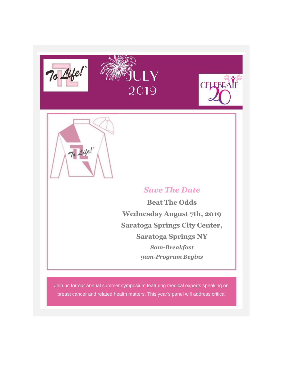







# *Save The Date*

**Beat The Odds Wednesday August 7th, 2019 Saratoga Springs City Center, Saratoga Springs NY** *8am-Breakfast 9am-Program Begins*

Join us for our annual summer symposium featuring medical experts speaking on breast cancer and related health matters. This year's panel will address critical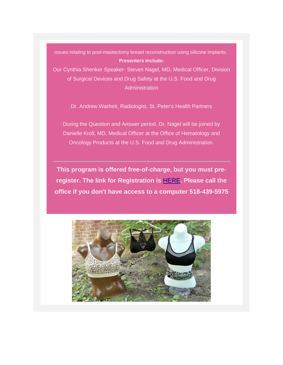issues relating to post-mastectomy breast reconstruction using silicone implants. **Presenters Include:**

*Our Cynthia Shenker Speaker- Steven Nagel, MD*, Medical Officer, Division of Surgical Devices and Drug Safety at the U.S. Food and Drug **Administration** 

*Dr. Andrew Warheit*, Radiologist, St. Peter's Health Partners

During the Question and Answer period, Dr. Nagel will be joined by *Danielle Kroll, MD*, Medical Officer at the Office of Hematology and Oncology Products at the U.S. Food and Drug Administration.

*This program is offered free-of-charge, but you must preregister. The link for Registration is [HERE](https://tolife.us5.list-manage.com/track/click?u=241d59b897b4121e9d2e15914&id=462a08c83f&e=d1f01208e2). Please call the office if you don't have access to a computer 518-439-5975*

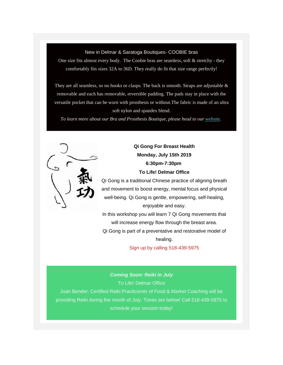#### New in Delmar & Saratoga Boutiques- COOBIE bras

One size fits almost every body. The Coobie bras are seamless, soft & stretchy - they comfortably fits sizes 32A to 36D. They really do fit that size range perfectly!

They are all seamless, so no hooks or clasps. The back is smooth. Straps are adjustable  $\&$ removable and each has removable, reversible padding. The pads stay in place with the versatile pocket that can be worn with prosthesis or without.The fabric is made of an ultra soft nylon and spandex blend.

*To learn more about our Bra and Prosthesis Boutique, please head to our [website.](https://tolife.us5.list-manage.com/track/click?u=241d59b897b4121e9d2e15914&id=2481481dc2&e=d1f01208e2)*



## *Qi Gong For Breast Health Monday, July 15th 2019 6:30pm-7:30pm To Life! Delmar Office*

Qi Gong is a traditional Chinese practice of aligning breath and movement to boost energy, mental focus and physical well-being. Qi Gong is gentle, empowering, self-healing, enjoyable and easy.

In this workshop you will learn 7 Qi Gong movements that will increase energy flow through the breast area. Qi Gong is part of a preventative and restorative model of

healing.

Sign up by calling 518-439-5975

*Coming Soon: Reiki in July* To Life! Delmar Office Joan Bender, Certified Reiki Practicioner of Food & Market Coaching will be providing Reiki during the month of July. Times are below! Call 518-439-5975 to schedule your session today!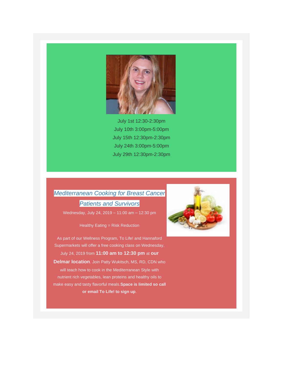

July 1st 12:30-2:30pm July 10th 3:00pm-5:00pm July 15th 12:30pm-2:30pm July 24th 3:00pm-5:00pm July 29th 12:30pm-2:30pm

# *Mediterranean Cooking for Breast Cancer Patients and Survivors*

Wednesday, July 24, 2019 – 11:00 am – 12:30 pm

*Healthy Eating = Risk Reduction*

As part of our Wellness Program, To Life! and Hannaford Supermarkets will offer a free cooking class on Wednesday, July 24, 2019 from **11:00 am to 12:30 pm** at **our Delmar location**. Join Patty Wukitsch, MS, RD, CDN who will teach how to cook in the *Mediterranean Style* with nutrient rich vegetables, lean proteins and healthy oils to make easy and tasty flavorful meals.*Space is limited so call or email To Life! to sign up*.

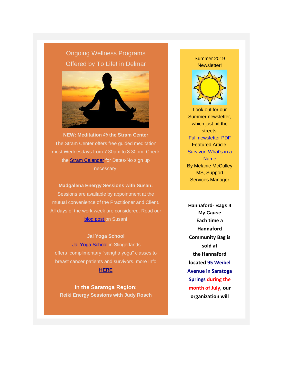# Ongoing Wellness Programs Offered by *To Life!* in Delmar



**NEW: Meditation @ the Stram Center** The Stram Center offers free guided meditation most Wednesdays from 7:30pm to 8:30pm. Check the **[Stram Calendar](https://tolife.us5.list-manage.com/track/click?u=241d59b897b4121e9d2e15914&id=2c125182fc&e=d1f01208e2)** for Dates-No sign up necessary!

**Madgalena Energy Sessions with Susan:** Sessions are available by appointment at the mutual convenience of the Practitioner and Client. All days of the work week are considered. Read our [blog post o](https://tolife.us5.list-manage.com/track/click?u=241d59b897b4121e9d2e15914&id=d6058415f7&e=d1f01208e2)n Susan!

*Jai Yoga School* [Jai Yoga School](https://tolife.us5.list-manage.com/track/click?u=241d59b897b4121e9d2e15914&id=400ff30c11&e=d1f01208e2) in Slingerlands offers complimentary "sangha yoga" classes to breast cancer patients and survivors. more Info

**[HERE](https://tolife.us5.list-manage.com/track/click?u=241d59b897b4121e9d2e15914&id=d7ebf80d59&e=d1f01208e2)**

**In the Saratoga Region:** *Reiki Energy Sessions with Judy Rosch* Summer 2019 Newsletter!



Look out for our Summer newsletter, which just hit the streets! [Full newsletter PDF](https://tolife.us5.list-manage.com/track/click?u=241d59b897b4121e9d2e15914&id=3446434c10&e=d1f01208e2) Featured Article: [Survivor: What's in a](https://tolife.us5.list-manage.com/track/click?u=241d59b897b4121e9d2e15914&id=f01468dd29&e=d1f01208e2)  [Name](https://tolife.us5.list-manage.com/track/click?u=241d59b897b4121e9d2e15914&id=f01468dd29&e=d1f01208e2) By Melanie McCulley MS, Support Services Manager

*Hannaford- Bags 4 My Cause* **Each time a Hannaford Community Bag is sold at the Hannaford located 95 Weibel Avenue in Saratoga Springs during the month of July, our organization will**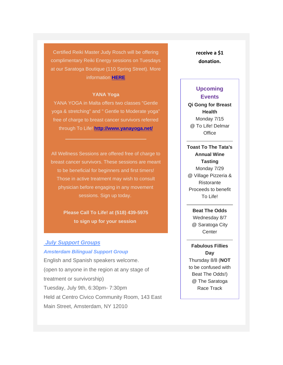Certified Reiki Master Judy Rosch will be offering complimentary Reiki Energy sessions on Tuesdays at our Saratoga Boutique (110 Spring Street). More information **[HERE](https://tolife.us5.list-manage.com/track/click?u=241d59b897b4121e9d2e15914&id=8197f6d9ad&e=d1f01208e2)**

#### **YANA Yoga**

YANA YOGA in Malta offers two classes "Gentle yoga & stretching" and " Gentle to Moderate yoga" free of charge to breast cancer survivors referred through To Life! **[http://www.yanayoga.net/](https://tolife.us5.list-manage.com/track/click?u=241d59b897b4121e9d2e15914&id=77f3148176&e=d1f01208e2)**

 $\mathcal{L}_\text{max}$  and  $\mathcal{L}_\text{max}$  and  $\mathcal{L}_\text{max}$  and  $\mathcal{L}_\text{max}$ 

All Wellness Sessions are offered free of charge to breast cancer survivors. These sessions are meant to be beneficial for beginners and first timers! Those in active treatment may wish to consult physician before engaging in any movement sessions. Sign up today.

> **Please Call To Life! at (518) 439-5975 to sign up for your session**

### *July Support Groups*

#### *Amsterdam Bilingual Support Group*

English and Spanish speakers welcome. (open to anyone in the region at any stage of treatment or survivorship) Tuesday, July 9th, 6:30pm- 7:30pm Held at Centro Civico Community Room, 143 East Main Street, Amsterdam, NY 12010

**receive a \$1 donation.** 

### **Upcoming Events**

**Qi Gong for Breast Health** Monday 7/15 @ To Life! Delmar **Office** 

**Toast To The Tata's Annual Wine Tasting** Monday 7/29 @ Village Pizzeria & Ristorante Proceeds to benefit To Life!

> **Beat The Odds** Wednesday 8/7 @ Saratoga City **Center**

**Fabulous Fillies Day** Thursday 8/8 (*NOT* to be confused with Beat The Odds!) @ The Saratoga Race Track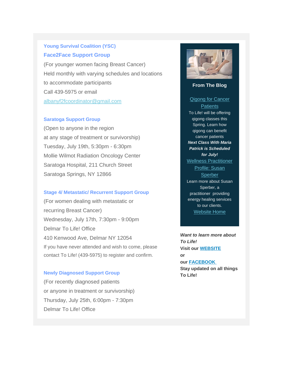# *Young Survival Coalition (YSC) Face2Face Support Group*

(For younger women facing Breast Cancer) Held monthly with varying schedules and locations to accommodate participants Call 439-5975 or email [albanyf2fcoordinator@gmail.com](mailto:albanyf2fcoordinator@gmail.com)

### *Saratoga Support Group*

(Open to anyone in the region at any stage of treatment or survivorship) Tuesday, July 19th, 5:30pm - 6:30pm Mollie Wilmot Radiation Oncology Center Saratoga Hospital, 211 Church Street Saratoga Springs, NY 12866

#### *Stage 4/ Metastatic/ Recurrent Support Group*

(For women dealing with metastatic or recurring Breast Cancer) Wednesday, July 17th, 7:30pm - 9:00pm Delmar To Life! Office 410 Kenwood Ave, Delmar NY 12054 If you have never attended and wish to come, please contact To Life! (439-5975) to register and confirm.

#### *Newly Diagnosed Support Group*

(For recently diagnosed patients or anyone in treatment or survivorship) Thursday, July 25th, 6:00pm - 7:30pm Delmar To Life! Office



### **From The Blog**

*[Qigong for Cancer](https://tolife.us5.list-manage.com/track/click?u=241d59b897b4121e9d2e15914&id=115d41b54e&e=d1f01208e2)  [Patients](https://tolife.us5.list-manage.com/track/click?u=241d59b897b4121e9d2e15914&id=115d41b54e&e=d1f01208e2)* To Life! will be offering qigong classes this Spring. Learn how qigong can benefit cancer patients *Next Class With Maria Patrick is Scheduled for July! [Wellness Practitioner](https://tolife.us5.list-manage.com/track/click?u=241d59b897b4121e9d2e15914&id=d7cb1890d8&e=d1f01208e2)  [Profile: Susan](https://tolife.us5.list-manage.com/track/click?u=241d59b897b4121e9d2e15914&id=d7cb1890d8&e=d1f01208e2)  [Sperber](https://tolife.us5.list-manage.com/track/click?u=241d59b897b4121e9d2e15914&id=d7cb1890d8&e=d1f01208e2)* Learn more about Susan Sperber, a practitioner providing energy healing services to our clients. [Website Home](https://tolife.us5.list-manage.com/track/click?u=241d59b897b4121e9d2e15914&id=3e3d45ebda&e=d1f01208e2)

*Want to learn more about To Life!* **Visit our [WEBSITE](https://tolife.us5.list-manage.com/track/click?u=241d59b897b4121e9d2e15914&id=865a69f535&e=d1f01208e2) or our [FACEBOOK](https://tolife.us5.list-manage.com/track/click?u=241d59b897b4121e9d2e15914&id=4d5dfbe0f6&e=d1f01208e2) Stay updated on all things To Life!**